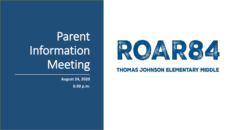

### **THOMAS JOHNSON ELEMENTARY MIDDLE**

# **Parent** Information Meeting

**August 24, 2020**

**6:30 p.m.**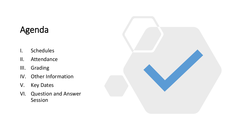### Agenda

- I. Schedules
- II. Attendance
- III. Grading
- IV. Other Information
- V. Key Dates
- VI. Question and Answer Session

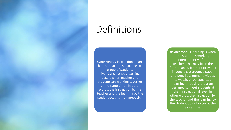### Definitions

**Synchronous** instruction means that the teacher is teaching to a group of students live. Synchronous learning occurs when teacher and students are working together at the same time. In other words, the instruction by the teacher and the learning by the student occur simultaneously.

**Asynchronous** learning is when the student is working independently of the teacher. This may be in the form of an assignment provided in google classroom, a paper and pencil assignment, videos to watch, or personalized learning through a program designed to meet students at their instructional level. In other words, the instruction by the teacher and the learning by the student do not occur at the same time.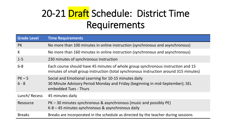## 20-21 Draft Schedule: District Time Requirements

| <b>Grade Level</b> | <b>Time Requirements</b>                                                                                                                                                  |
|--------------------|---------------------------------------------------------------------------------------------------------------------------------------------------------------------------|
| <b>PK</b>          | No more than 100 minutes in online instruction (synchronous and asynchronous)                                                                                             |
| K                  | No more than 160 minutes in online instruction (synchronous and asynchronous)                                                                                             |
| $1 - 5$            | 230 minutes of synchronous instruction                                                                                                                                    |
| $6 - 8$            | Each course should have 45 minutes of whole group synchronous instruction and 15<br>minutes of small group instruction (total synchronous instruction around 315 minutes) |
| $PK-5$<br>$6 - 8$  | Social and Emotional Learning for 10-15 minutes daily<br>30 Minute Advisory Period Monday and Friday (beginning in mid-September); SEL<br>embedded Tues - Thurs           |
| Lunch/Recess       | 45 minutes daily                                                                                                                                                          |
| Resource           | PK – 30 minutes synchronous & asynchronous (music and possibly PE)<br>$K-8-45$ minutes synchronous & asynchronous daily                                                   |
| <b>Breaks</b>      | Breaks are incorporated in the schedule as directed by the teacher during sessions                                                                                        |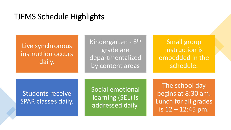### TJEMS Schedule Highlights

Live synchronous instruction occurs daily.

Kindergarten - 8<sup>th</sup> grade are departmentalized by content areas

Small group instruction is embedded in the schedule.

### Students receive SPAR classes daily.

Social emotional learning (SEL) is addressed daily.

The school day begins at 8:30 am. Lunch for all grades is 12 – 12:45 pm.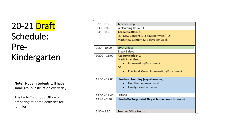## 20-21 Draft Schedule: Pre-Kindergarten

**Note:** Not all students will have small group instruction every day.

The Early Childhood Office is preparing at home activities for families.

| Teacher Prep                                    |  |
|-------------------------------------------------|--|
| Welcoming Ritual/SEL                            |  |
| <b>Academic Block 1</b>                         |  |
| ELA New Content (2-3 days per week) OR          |  |
| Math New Content (2-3 days per week)            |  |
|                                                 |  |
| SPAR 2 days                                     |  |
| Break 3 days                                    |  |
| <b>Academic Block 2</b>                         |  |
| <b>Math Small Group</b>                         |  |
| Intervention/Enrichment                         |  |
| <b>OR</b>                                       |  |
| <b>ELA Small Group Intervention/Enrichment</b>  |  |
|                                                 |  |
| Hands-on Learning (asynchronous)                |  |
| Unit theme project work                         |  |
| Family-based activities                         |  |
|                                                 |  |
| LUNCH                                           |  |
| Hands-On Purposeful Play at home (asynchronous) |  |
|                                                 |  |
|                                                 |  |
| Teacher Office Hours                            |  |
|                                                 |  |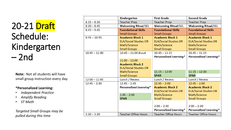## 20-21 Draft Schedule: Kindergarten – 2nd

**Note:** Not all students will have small group instruction every day.

#### **\*Personalized Learning:**

- *Independent Practice*
- *Amplify Reading*
- *ST Math*

*Targeted Small Groups may be pulled during this time*

|                 | Kindergarten                  | <b>First Grade</b>            | <b>Second Grade</b>           |
|-----------------|-------------------------------|-------------------------------|-------------------------------|
| $8:15 - 8:30$   | <b>Teacher Prep</b>           | <b>Teacher Prep</b>           | <b>Teacher Prep</b>           |
| $8:30 - 8:45$   | <b>Welcoming Ritual/SEL</b>   | <b>Welcoming Ritual/SEL</b>   | <b>Welcoming Ritual/SEL</b>   |
| $8:45 - 9:45$   | <b>Foundational Skills</b>    | <b>Foundational Skills</b>    | <b>Foundational Skills</b>    |
|                 | <b>Small Groups</b>           | <b>Small Groups</b>           | <b>Small Groups</b>           |
| $9:45 - 10:45$  | <b>Academic Block 1</b>       | <b>Academic Block 1</b>       | <b>Academic Block 1</b>       |
|                 | <b>ELA/Social Studies OR</b>  | <b>ELA/Social Studies OR</b>  | <b>ELA/Social Studies OR</b>  |
|                 | Math/Science                  | Math/Science                  | Math/Science                  |
|                 | <b>Small Groups</b>           | <b>Small Groups</b>           | <b>Small Groups</b>           |
| $10:45 - 12:00$ | 10:45 - 11:00 Break           | $10:45 - 11:15$               | $10:45 - 11:15$               |
|                 |                               | <b>Personalized Learning*</b> | <b>Personalized Learning*</b> |
|                 | $11:00 - 12:00$               |                               |                               |
|                 | <b>Academic Block 2</b>       |                               |                               |
|                 | <b>ELA/Social Studies OR</b>  |                               |                               |
|                 | Math/Science                  | $11:15 - 12:00$               | $11:15 - 12:00$               |
|                 | <b>Small Groups</b>           | <b>SPAR</b>                   | <b>SPAR</b>                   |
| $12:00 - 12:45$ | Lunch / Recess                | Lunch / Recess                | Lunch / Recess                |
| $12:45 - 2:30$  | $12:45 - 1:45$                | $12:45 - 2:00$                | $12:45 - 2:00$                |
|                 | <b>Personalized Learning*</b> | <b>Academic Block 2</b>       | <b>Academic Block 2</b>       |
|                 |                               | <b>ELA/Social Studies OR</b>  | <b>ELA/Social Studies OR</b>  |
|                 | $1:45 - 2:30$                 | Math/Science                  | Math/Science                  |
|                 | <b>SPAR</b>                   | <b>Small Groups</b>           | <b>Small Groups</b>           |
|                 |                               |                               |                               |
|                 |                               | $2:00 - 2:30$                 | $2:00 - 2:30$                 |
|                 |                               | <b>Personalized Learning*</b> | <b>Personalized Learning*</b> |
| $2:30 - 3:30$   | <b>Teacher Office Hours</b>   | <b>Teacher Office Hours</b>   | <b>Teacher Office Hours</b>   |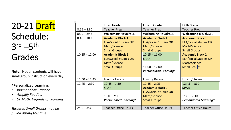## 20-21 Draft Schedule: 3 rd –5 th Grades

**Note:** Not all students will have small group instruction every day.

#### **\*Personalized Learning:**

- *Independent Practice*
- *Amplify Reading*
- *ST Math, Legends of Learning*

*Targeted Small Groups may be pulled during this time*

|                 | <b>Third Grade</b>            | <b>Fourth Grade</b>           | <b>Fifth Grade</b>            |
|-----------------|-------------------------------|-------------------------------|-------------------------------|
| $8:15 - 8:30$   | <b>Teacher Prep</b>           | <b>Teacher Prep</b>           | <b>Teacher Prep</b>           |
| $8:30 - 8:45$   | <b>Welcoming Ritual/SEL</b>   | <b>Welcoming Ritual/SEL</b>   | <b>Welcoming Ritual/SEL</b>   |
| $8:45 - 10:15$  | <b>Academic Block 1</b>       | <b>Academic Block 1</b>       | <b>Academic Block 1</b>       |
|                 | <b>ELA/Social Studies OR</b>  | <b>ELA/Social Studies OR</b>  | <b>ELA/Social Studies OR</b>  |
|                 | Math/Science                  | Math/Science                  | Math/Science                  |
|                 | <b>Small Groups</b>           | <b>Small Groups</b>           | <b>Small Groups</b>           |
| $10:15 - 12:00$ | <b>Academic Block 2</b>       | $10:15 - 11:00$               | <b>Academic Block 2</b>       |
|                 | <b>ELA/Social Studies OR</b>  | <b>SPAR</b>                   | <b>ELA/Social Studies OR</b>  |
|                 | Math/Science                  |                               | Math/Science                  |
|                 | <b>Small Groups</b>           | $11:00 - 12:00$               | Small Groups                  |
|                 |                               | <b>Personalized Learning*</b> |                               |
|                 |                               |                               |                               |
| $12:00 - 12:45$ | Lunch / Recess                | Lunch / Recess                | Lunch / Recess                |
| $12:45 - 2:30$  | $12:45 - 1:30$                | $12:45 - 2:25$                | $12:45 - 1:30$                |
|                 | <b>SPAR</b>                   | <b>Academic Block 2</b>       | <b>SPAR</b>                   |
|                 |                               | <b>ELA/Social Studies OR</b>  |                               |
|                 | $1:30 - 2:30$                 | Math/Science                  | $1:30 - 2:30$                 |
|                 | <b>Personalized Learning*</b> | <b>Small Groups</b>           | <b>Personalized Learning*</b> |
|                 |                               |                               |                               |
| $2:30 - 3:30$   | <b>Teacher Office Hours</b>   | <b>Teacher Office Hours</b>   | <b>Teacher Office Hours</b>   |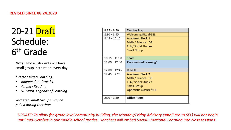#### **REVISED SINCE 08.24.2020**

## 20-21 Draft Schedule: 6 th Grade

**Note:** Not all students will have small group instruction every day.

#### **\*Personalized Learning:**

- *Independent Practice*
- *Amplify Reading*
- *ST Math, Legends of Learning*

*Targeted Small Groups may be pulled during this time*

| $2:30 - 3:30$   | <b>Office Hours</b>                                           |
|-----------------|---------------------------------------------------------------|
|                 | ELA / Social Studies<br>Small Group<br>Optimistic Closure/SEL |
| $12:45 - 2:25$  | <b>Academic Block 2</b><br>Math / Science OR                  |
| $12:00 - 12:45$ | LUNCH                                                         |
| $11:00 - 12:00$ | Personalized Learning*                                        |
| $10:15 - 11:00$ | SPAR                                                          |
|                 | ELA / Social Studies<br>Small Group                           |
| $8:45 - 10:15$  | <b>Academic Block 1</b><br>Math / Science OR                  |
| $8:30 - 8:45$   | <b>Welcoming Ritual/SEL</b>                                   |
| $8:15 - 8:30$   | Teacher Prep                                                  |

*UPDATE: To allow for grade level community building, the Monday/Friday Advisory (small group SEL) will not begin until mid-October in our middle school grades. Teachers will embed Social-Emotional Learning into class sessions.*

T.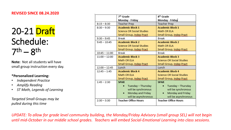#### **REVISED SINCE 08.24.2020**

20-21 Draft Schedule:  $7<sup>th</sup> - 8<sup>th</sup>$ 

**Note:** Not all students will have small group instruction every day.

#### **\*Personalized Learning:**

- *Independent Practice*
- *Amplify Reading*
- *ST Math, Legends of Learning*

*Targeted Small Groups may be pulled during this time*

|                 | 7 <sup>th</sup> Grade            | 8 <sup>th</sup> Grade            |
|-----------------|----------------------------------|----------------------------------|
|                 | Monday - Friday                  | Monday - Friday                  |
| $8:15 - 8:30$   | Teacher Prep                     | Teacher Prep                     |
| $8:30 - 9:30$   | <b>Academic Block 1</b>          | <b>Academic Block 1</b>          |
|                 | Science OR Social Studies        | Math OR ELA                      |
|                 | Small Group, Indep Pract         | Small Group, Indep Pract         |
| $9:30 - 9:45$   | Break                            | Break                            |
| $9:45 - 10:45$  | <b>Academic Block 2</b>          | <b>Academic Block 2</b>          |
|                 | <b>Science OR Social Studies</b> | Math OR ELA                      |
|                 | Small Group, Indep Pract         | Small Group, Indep Pract         |
| $10:45 - 11:00$ | Break                            | Break                            |
| $11:00 - 12:00$ | <b>Academic Block 3</b>          | <b>Academic Block 3</b>          |
|                 | Math OR ELA                      | Science OR Social Studies        |
|                 | Small Group, Indep Pract         | Small Group, Indep Pract         |
| $12:00 - 12:45$ | Lunch                            | Lunch                            |
| $12:45 - 1:45$  | <b>Academic Block 4</b>          | <b>Academic Block 4</b>          |
|                 | Math OR ELA                      | <b>Science OR Social Studies</b> |
|                 | Small Group, Indep Pract         | Small Group, Indep Pract         |
| $1:45 - 2:30$   | <b>SPAR</b>                      | <b>SPAR</b>                      |
|                 | Tuesday - Thursday               | Tuesday - Thursday               |
|                 | will be synchronous              | will be synchronous              |
|                 | Monday and Friday                | Monday and Friday                |
|                 | will be asynchronous             | will be asynchronous             |
| $2:30 - 3:30$   | <b>Teacher Office Hours</b>      | <b>Teacher Office Hours</b>      |
|                 |                                  |                                  |

*UPDATE: To allow for grade level community building, the Monday/Friday Advisory (small group SEL) will not begin until mid-October in our middle school grades. Teachers will embed Social-Emotional Learning into class sessions.*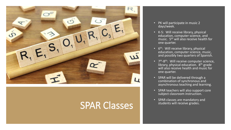

### SPAR Classes

- PK will participate in music 2 days/week.
- K-5: Will receive library, physical education, computer science, and music. 5th will also receive health for one quarter.
- 6<sup>th</sup>: Will receive library, physical education, computer science, music, and possibly two quarters of Spanish.
- 7<sup>th</sup>-8<sup>th</sup>: Will receive computer science, library, physical education. 8<sup>th</sup> grade will also receive health and music for one quarter.
- SPAR will be delivered through a combination of synchronous and asynchronous teaching and learning.
- SPAR teachers will also support core subject classroom instruction.
- SPAR classes are mandatory and students will receive grades.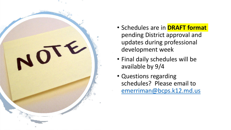

- Schedules are in **DRAFT format**  pending District approval and updates during professional development week
- Final daily schedules will be available by 9/4
- Questions regarding schedules? Please email to [emerriman@bcps.k12.md.us](about:blank)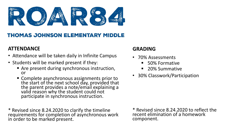

### **THOMAS JOHNSON ELEMENTARY MIDDLE**

### **ATTENDANCE**

- Attendance will be taken daily in Infinite Campus
- Students will be marked present if they:
	- Are present during synchronous instruction, or
	- Complete asynchronous assignments prior to the start of the next school day, provided that the parent provides a note/email explaining a valid reason why the student could not participate in synchronous instruction.

\* Revised since 8.24.2020 to clarify the timeline requirements for completion of asynchronous work in order to be marked present.

### **GRADING**

- 70% Assessments
	- 50% Formative
	- 20% Summative
- 30% Classwork/Participation

\* Revised since 8.24.2020 to reflect the recent elimination of a homework component.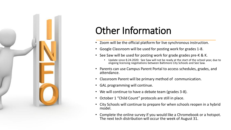

## Other Information

- Zoom will be the official platform for live synchronous instruction.
- Google Classroom will be used for posting work for grades 1-8.
- See Saw will be used for posting work for grade grades pre-K & K.
	- Update since 8.24.2020: See Saw will not be ready at the start of the school year, due to ongoing licensing negotiations between Baltimore City Schools and See Saw.
- Parents can use Campus Parent Portal to access schedules, grades, and attendance.
- Classroom Parent will be primary method of communication.
- GAL programming will continue.
- We will continue to have a debate team (grades 3-8).
- October 1 "Child Count" protocols are still in place.
- City Schools will continue to prepare for when schools reopen in a hybrid model.
- Complete the online survey if you would like a Chromebook or a hotspot. The next tech distribution will occur the week of August 31.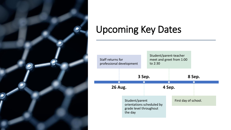

## Upcoming Key Dates

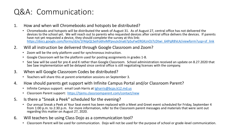### Q&A: Communication:

- 1. How and when will Chromebooks and hotspots be distributed?
	- Chromebooks and hotspots will be distributed the week of August 31. As of August 27, central office has not delivered the devices to the school yet. We will reach out to parents who requested devices after central office delivers the devices. If parents have not yet requested a device, they should complete the survey at this link: [https://docs.google.com/forms/d/e/1FAIpQLSeiFo6hvMPpvuJx3na67pSuFwERGKznOJ7cDtwi\\_64PqR8VcA/viewform?usp=sf\\_link](https://docs.google.com/forms/d/e/1FAIpQLSeiFo6hvMPpvuJx3na67pSuFwERGKznOJ7cDtwi_64PqR8VcA/viewform?usp=sf_link)
- 2. Will all instruction be delivered through Google Classroom and Zoom?
	- Zoom will be the only platform used for synchronous instruction.
	- Google Classroom will be the platform used for posting assignments in grades 1-8.
	- See Saw will be used for pre-K and K rather than Google Classroom. School administration received an update on 8.27.2020 that See Saw implementation will be delayed since central office is still negotiating licenses with the company.
- 3. When will Google Classroom Codes be distributed?
	- Teachers will share this at parent orientation sessions on September 3.
- 4. How should parents get support with Infinite Campus Portal and/or Classroom Parent?
	- Infinite Campus support: email Leah Harris at Igharris@bcps.k12.md.us
	- Classroom Parent support: <https://tjems.classroomparent.com/contact/new>
- 5. Is there a "Sneak a Peek" scheduled for the evening?
	- Our annual Sneak a Peek at Your Seat event has been replaced with a Meet and Greet event scheduled for Friday, September 4 from 1:00 p.m. to 2:30 p.m. For more information, refer to the Classroom parent messages and materials that were sent out regarding this matter on August 27, 2020.
- 6. Will teachers be using Class Dojo as a communication tool?
	- Classroom Parent will be used for communication. Dojo will not be used for the purpose of school or grade-level communication.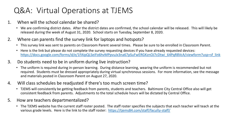### Q&A: Virtual Operations at TJEMS

- 1. When will the school calendar be shared?
	- We are confirming district dates. After the district dates are confirmed, the school calendar will be released. This will likely be released during the week of August 31, 2020. School starts on Tuesday, September 8, 2020.
- 2. Where can parents find the survey link for laptops and hotspots?
	- This survey link was sent to parents on Classroom Parent several times. Please be sure to be enrolled in Classroom Parent.
	- Here is the link but please do not complete the survey requesting devices if you have already requested devices: [https://docs.google.com/forms/d/e/1FAIpQLSeiFo6hvMPpvuJx3na67pSuFwERGKznOJ7cDtwi\\_64PqR8VcA/viewform?usp=sf\\_link](https://docs.google.com/forms/d/e/1FAIpQLSeiFo6hvMPpvuJx3na67pSuFwERGKznOJ7cDtwi_64PqR8VcA/viewform?usp=sf_link)
- 3. Do students need to be in uniform during live instruction?
	- The uniform is required during in-person learning. During distance learning, wearing the uniform is recommended but not required. Students must be dressed appropriately during virtual synchronous sessions. For more information, see the message and materials posted in Classroom Parent on August 27, 2020.
- 4. Will class schedules be readjusted if there's too much screen time?
	- TJEMS will consistently be getting feedback from parents, students and teachers. Baltimore City Central Office also will get consistent feedback from parents. Adjustments to the total schedule hours will be dictated by Central Office.
- 5. How are teachers departmentalized?
	- The TJEMS website has the current staff roster posted. The staff roster specifies the subjects that each teacher will teach at the various grade levels. Here is the link to the staff roster: <https://tjems84.com/staff/faculty-staff/>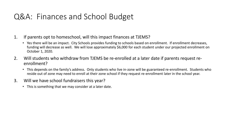### Q&A: Finances and School Budget

- 1. If parents opt to homeschool, will this impact finances at TJEMS?
	- Yes there will be an impact. City Schools provides funding to schools based on enrollment. If enrollment decreases, funding will decrease as well. We will lose approximately \$6,000 for each student under our projected enrollment on October 1, 2020.
- 2. Will students who withdraw from TJEMS be re-enrolled at a later date if parents request reenrollment?
	- This depends on the family's address. Only students who live in-zone will be guaranteed re-enrollment. Students who reside out of zone may need to enroll at their zone school if they request re-enrollment later in the school year.
- 3. Will we have school fundraisers this year?
	- This is something that we may consider at a later date.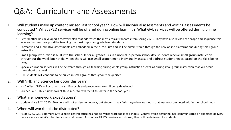### Q&A: Curriculum and Assessments

- 1. Will students make up content missed last school year? How will individual assessments and writing assessments be conducted? What SPED services will be offered during online learning? What GAL services will be offered during online learning?
	- Central office has developed a recovery plan that addresses the most critical standards from spring 2020. They have also revised the scope and sequence this year so that teachers prioritize teaching the most important grade level standards.
	- Formative and summative assessments are embedded in the curriculum and will be administered through the new online platforms and during small group instruction.
	- Small group instruction is built into the schedule for all grades. As in a normal in-person school day, students receive small group instruction throughout the week but not daily. Teachers will use small group time to individually assess and address student needs based on the skills being taught.
	- Special education services will be delivered through co-teaching during whole group instruction as well as during small group instruction that will occur throughout the week.
	- GAL students will continue to be pulled in small groups throughout the quarter.
- 2. Will NHD and Science fair occur this year?
	- NHD Yes. NHD will occur virtually. Protocols and procedures are still being developed.
	- Science Fair This is unknown at this time. We will revisit this later in the school year.
- 3. What are homework expectations?
	- Update since 8.24.2020: Teachers will not assign homework, but students may finish asynchronous work that was not completed within the school hours.
- 4. When will workbooks be distributed?
	- As of 8.27.2020, Baltimore City Schools central office has not delivered workbooks to schools. Central office personnel has communicated an expected delivery date as late as mid-October for some workbooks. As soon as TJEMS receives workbooks, they will be delivered to students.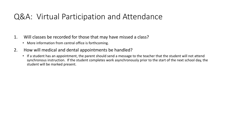### Q&A: Virtual Participation and Attendance

- 1. Will classes be recorded for those that may have missed a class?
	- More information from central office is forthcoming.
- 2. How will medical and dental appointments be handled?
	- If a student has an appointment, the parent should send a message to the teacher that the student will not attend synchronous instruction. If the student completes work asynchronously prior to the start of the next school day, the student will be marked present.